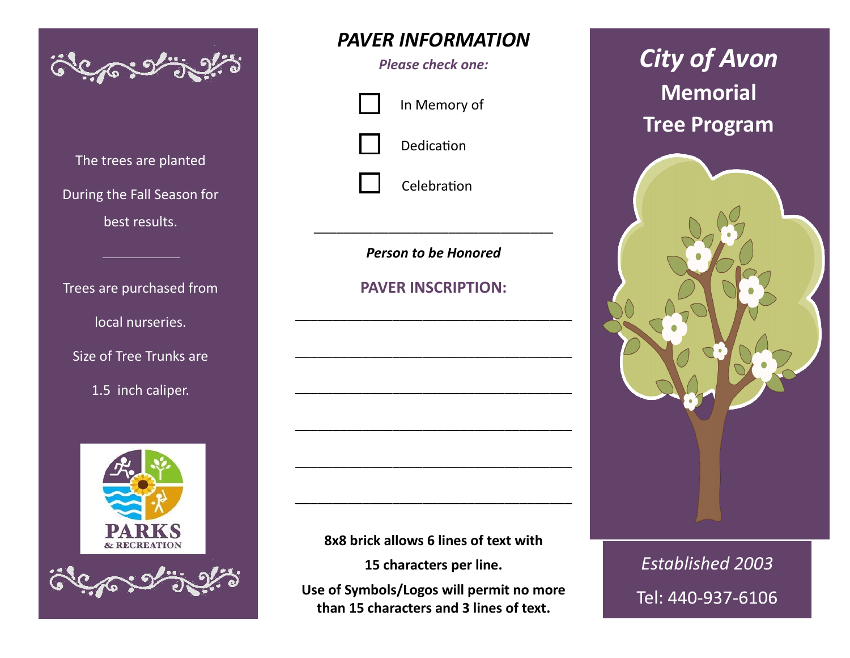The trees are planted During the Fall Season for best results.

Trees are purchased from

local nurseries.

Size of Tree Trunks are

1.5 inch caliper.



## *PAVER INFORMATION*

*Please check one:*



## *Person to be Honored*

\_\_\_\_\_\_\_\_\_\_\_\_\_\_\_\_\_\_\_\_\_\_\_\_\_\_\_\_\_\_\_\_

## **PAVER INSCRIPTION:**

\_\_\_\_\_\_\_\_\_\_\_\_\_\_\_\_\_\_\_\_\_\_\_\_\_\_\_\_\_\_\_\_\_\_\_\_\_

\_\_\_\_\_\_\_\_\_\_\_\_\_\_\_\_\_\_\_\_\_\_\_\_\_\_\_\_\_\_\_\_\_\_\_\_\_

\_\_\_\_\_\_\_\_\_\_\_\_\_\_\_\_\_\_\_\_\_\_\_\_\_\_\_\_\_\_\_\_\_\_\_\_\_

\_\_\_\_\_\_\_\_\_\_\_\_\_\_\_\_\_\_\_\_\_\_\_\_\_\_\_\_\_\_\_\_\_\_\_\_\_

\_\_\_\_\_\_\_\_\_\_\_\_\_\_\_\_\_\_\_\_\_\_\_\_\_\_\_\_\_\_\_\_\_\_\_\_\_

\_\_\_\_\_\_\_\_\_\_\_\_\_\_\_\_\_\_\_\_\_\_\_\_\_\_\_\_\_\_\_\_\_\_\_\_\_

## **8x8 brick allows 6 lines of text with**

**15 characters per line.** 

**Use of Symbols/Logos will permit no more than 15 characters and 3 lines of text.**





*Established 2003* Tel: 440-937-6106